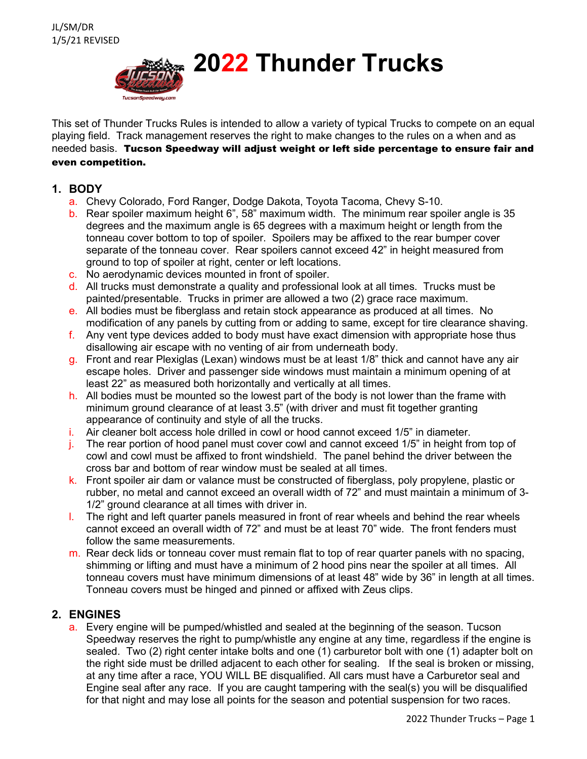

This set of Thunder Trucks Rules is intended to allow a variety of typical Trucks to compete on an equal playing field. Track management reserves the right to make changes to the rules on a when and as needed basis. Tucson Speedway will adjust weight or left side percentage to ensure fair and even competition.

## **1. BODY**

- a. Chevy Colorado, Ford Ranger, Dodge Dakota, Toyota Tacoma, Chevy S-10.
- b. Rear spoiler maximum height 6", 58" maximum width. The minimum rear spoiler angle is 35 degrees and the maximum angle is 65 degrees with a maximum height or length from the tonneau cover bottom to top of spoiler. Spoilers may be affixed to the rear bumper cover separate of the tonneau cover. Rear spoilers cannot exceed 42" in height measured from ground to top of spoiler at right, center or left locations.
- c. No aerodynamic devices mounted in front of spoiler.
- d. All trucks must demonstrate a quality and professional look at all times. Trucks must be painted/presentable. Trucks in primer are allowed a two (2) grace race maximum.
- e. All bodies must be fiberglass and retain stock appearance as produced at all times. No modification of any panels by cutting from or adding to same, except for tire clearance shaving.
- f. Any vent type devices added to body must have exact dimension with appropriate hose thus disallowing air escape with no venting of air from underneath body.
- g. Front and rear Plexiglas (Lexan) windows must be at least 1/8" thick and cannot have any air escape holes. Driver and passenger side windows must maintain a minimum opening of at least 22" as measured both horizontally and vertically at all times.
- h. All bodies must be mounted so the lowest part of the body is not lower than the frame with minimum ground clearance of at least 3.5" (with driver and must fit together granting appearance of continuity and style of all the trucks.
- i. Air cleaner bolt access hole drilled in cowl or hood cannot exceed 1/5" in diameter.
- $i$ . The rear portion of hood panel must cover cowl and cannot exceed 1/5" in height from top of cowl and cowl must be affixed to front windshield. The panel behind the driver between the cross bar and bottom of rear window must be sealed at all times.
- k. Front spoiler air dam or valance must be constructed of fiberglass, poly propylene, plastic or rubber, no metal and cannot exceed an overall width of 72" and must maintain a minimum of 3- 1/2" ground clearance at all times with driver in.
- l. The right and left quarter panels measured in front of rear wheels and behind the rear wheels cannot exceed an overall width of 72" and must be at least 70" wide. The front fenders must follow the same measurements.
- $m$ . Rear deck lids or tonneau cover must remain flat to top of rear quarter panels with no spacing, shimming or lifting and must have a minimum of 2 hood pins near the spoiler at all times. All tonneau covers must have minimum dimensions of at least 48" wide by 36" in length at all times. Tonneau covers must be hinged and pinned or affixed with Zeus clips.

## **2. ENGINES**

a. Every engine will be pumped/whistled and sealed at the beginning of the season. Tucson Speedway reserves the right to pump/whistle any engine at any time, regardless if the engine is sealed. Two (2) right center intake bolts and one (1) carburetor bolt with one (1) adapter bolt on the right side must be drilled adjacent to each other for sealing. If the seal is broken or missing, at any time after a race, YOU WILL BE disqualified. All cars must have a Carburetor seal and Engine seal after any race. If you are caught tampering with the seal(s) you will be disqualified for that night and may lose all points for the season and potential suspension for two races.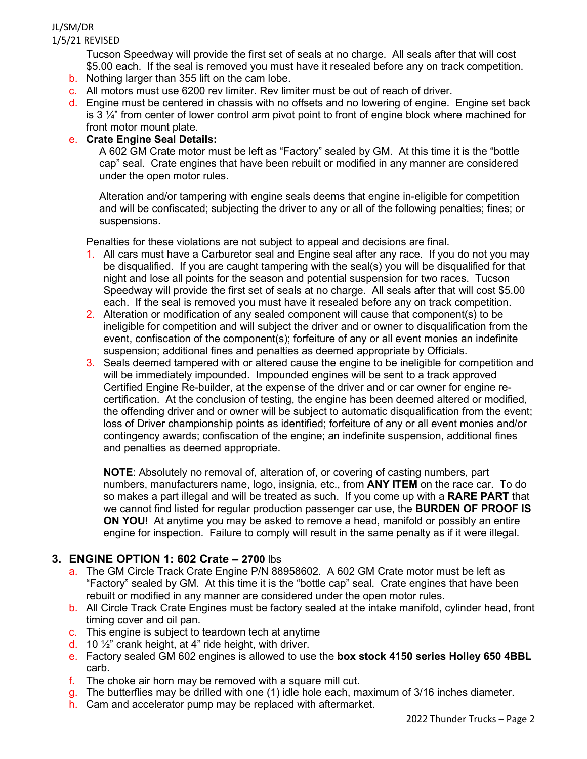Tucson Speedway will provide the first set of seals at no charge. All seals after that will cost \$5.00 each. If the seal is removed you must have it resealed before any on track competition.

- b. Nothing larger than 355 lift on the cam lobe.
- c. All motors must use 6200 rev limiter. Rev limiter must be out of reach of driver.
- d. Engine must be centered in chassis with no offsets and no lowering of engine. Engine set back is 3  $\frac{1}{4}$ " from center of lower control arm pivot point to front of engine block where machined for front motor mount plate.

#### e. **Crate Engine Seal Details:**

A 602 GM Crate motor must be left as "Factory" sealed by GM. At this time it is the "bottle cap" seal. Crate engines that have been rebuilt or modified in any manner are considered under the open motor rules.

Alteration and/or tampering with engine seals deems that engine in-eligible for competition and will be confiscated; subjecting the driver to any or all of the following penalties; fines; or suspensions.

Penalties for these violations are not subject to appeal and decisions are final.

- 1. All cars must have a Carburetor seal and Engine seal after any race. If you do not you may be disqualified. If you are caught tampering with the seal(s) you will be disqualified for that night and lose all points for the season and potential suspension for two races. Tucson Speedway will provide the first set of seals at no charge. All seals after that will cost \$5.00 each. If the seal is removed you must have it resealed before any on track competition.
- 2. Alteration or modification of any sealed component will cause that component(s) to be ineligible for competition and will subject the driver and or owner to disqualification from the event, confiscation of the component(s); forfeiture of any or all event monies an indefinite suspension; additional fines and penalties as deemed appropriate by Officials.
- 3. Seals deemed tampered with or altered cause the engine to be ineligible for competition and will be immediately impounded. Impounded engines will be sent to a track approved Certified Engine Re-builder, at the expense of the driver and or car owner for engine recertification. At the conclusion of testing, the engine has been deemed altered or modified, the offending driver and or owner will be subject to automatic disqualification from the event; loss of Driver championship points as identified; forfeiture of any or all event monies and/or contingency awards; confiscation of the engine; an indefinite suspension, additional fines and penalties as deemed appropriate.

**NOTE**: Absolutely no removal of, alteration of, or covering of casting numbers, part numbers, manufacturers name, logo, insignia, etc., from **ANY ITEM** on the race car. To do so makes a part illegal and will be treated as such. If you come up with a **RARE PART** that we cannot find listed for regular production passenger car use, the **BURDEN OF PROOF IS ON YOU**! At anytime you may be asked to remove a head, manifold or possibly an entire engine for inspection. Failure to comply will result in the same penalty as if it were illegal.

## **3. ENGINE OPTION 1: 602 Crate – 2700** lbs

- a. The GM Circle Track Crate Engine P/N 88958602. A 602 GM Crate motor must be left as "Factory" sealed by GM. At this time it is the "bottle cap" seal. Crate engines that have been rebuilt or modified in any manner are considered under the open motor rules.
- b. All Circle Track Crate Engines must be factory sealed at the intake manifold, cylinder head, front timing cover and oil pan.
- c. This engine is subject to teardown tech at anytime
- d. 10  $\frac{1}{2}$  crank height, at 4" ride height, with driver.
- e. Factory sealed GM 602 engines is allowed to use the **box stock 4150 series Holley 650 4BBL** carb.
- f. The choke air horn may be removed with a square mill cut.
- g. The butterflies may be drilled with one (1) idle hole each, maximum of 3/16 inches diameter.
- h. Cam and accelerator pump may be replaced with aftermarket.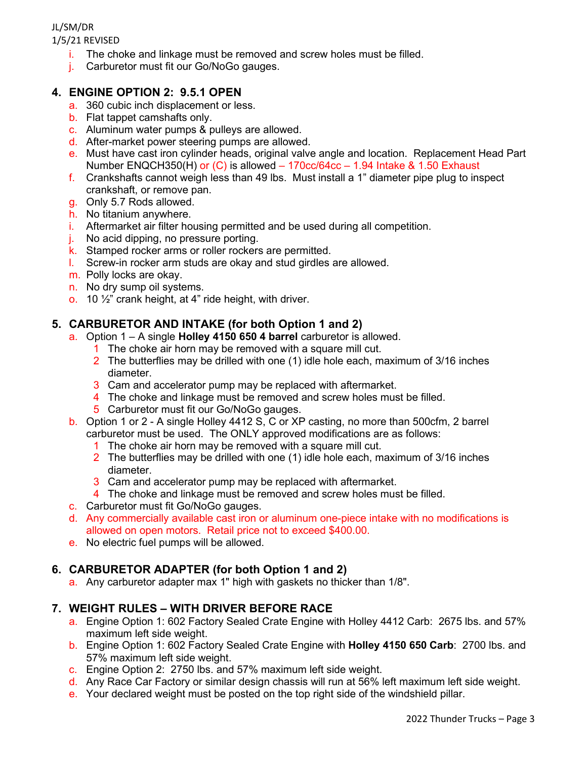JL/SM/DR

1/5/21 REVISED

- $i$ . The choke and linkage must be removed and screw holes must be filled.
- j. Carburetor must fit our Go/NoGo gauges.

## **4. ENGINE OPTION 2: 9.5.1 OPEN**

- a. 360 cubic inch displacement or less.
- b. Flat tappet camshafts only.
- c. Aluminum water pumps & pulleys are allowed.
- d. After-market power steering pumps are allowed.
- e. Must have cast iron cylinder heads, original valve angle and location. Replacement Head Part Number ENQCH350(H) or (C) is allowed – 170cc/64cc – 1.94 Intake & 1.50 Exhaust
- f. Crankshafts cannot weigh less than 49 lbs. Must install a 1" diameter pipe plug to inspect crankshaft, or remove pan.
- g. Only 5.7 Rods allowed.
- h. No titanium anywhere.
- i. Aftermarket air filter housing permitted and be used during all competition.
- j. No acid dipping, no pressure porting.
- k. Stamped rocker arms or roller rockers are permitted.
- l. Screw-in rocker arm studs are okay and stud girdles are allowed.
- m. Polly locks are okay.
- n. No dry sump oil systems.
- o. 10  $\frac{1}{2}$  crank height, at 4" ride height, with driver.

# **5. CARBURETOR AND INTAKE (for both Option 1 and 2)**

- a. Option 1 A single **Holley 4150 650 4 barrel** carburetor is allowed.
	- 1 The choke air horn may be removed with a square mill cut.
	- 2 The butterflies may be drilled with one (1) idle hole each, maximum of 3/16 inches diameter.
	- 3 Cam and accelerator pump may be replaced with aftermarket.
	- 4 The choke and linkage must be removed and screw holes must be filled.
	- 5 Carburetor must fit our Go/NoGo gauges.
- b. Option 1 or 2 A single Holley 4412 S, C or XP casting, no more than 500cfm, 2 barrel carburetor must be used. The ONLY approved modifications are as follows:
	- 1 The choke air horn may be removed with a square mill cut.
	- 2 The butterflies may be drilled with one (1) idle hole each, maximum of 3/16 inches diameter.
	- 3 Cam and accelerator pump may be replaced with aftermarket.
	- 4 The choke and linkage must be removed and screw holes must be filled.
- c. Carburetor must fit Go/NoGo gauges.
- d. Any commercially available cast iron or aluminum one-piece intake with no modifications is allowed on open motors. Retail price not to exceed \$400.00.
- e. No electric fuel pumps will be allowed.

## **6. CARBURETOR ADAPTER (for both Option 1 and 2)**

a. Any carburetor adapter max 1" high with gaskets no thicker than 1/8".

## **7. WEIGHT RULES – WITH DRIVER BEFORE RACE**

- a. Engine Option 1: 602 Factory Sealed Crate Engine with Holley 4412 Carb: 2675 lbs. and 57% maximum left side weight.
- b. Engine Option 1: 602 Factory Sealed Crate Engine with **Holley 4150 650 Carb**: 2700 lbs. and 57% maximum left side weight.
- c. Engine Option 2: 2750 lbs. and 57% maximum left side weight.
- d. Any Race Car Factory or similar design chassis will run at 56% left maximum left side weight.
- e. Your declared weight must be posted on the top right side of the windshield pillar.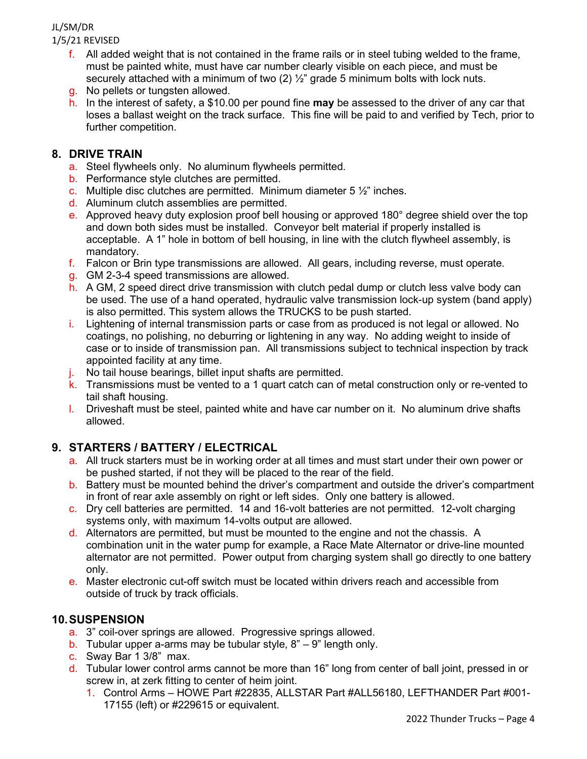- f. All added weight that is not contained in the frame rails or in steel tubing welded to the frame, must be painted white, must have car number clearly visible on each piece, and must be securely attached with a minimum of two  $(2)$   $\frac{1}{2}$  grade 5 minimum bolts with lock nuts.
- g. No pellets or tungsten allowed.
- h. In the interest of safety, a \$10.00 per pound fine **may** be assessed to the driver of any car that loses a ballast weight on the track surface. This fine will be paid to and verified by Tech, prior to further competition.

# **8. DRIVE TRAIN**

- a. Steel flywheels only. No aluminum flywheels permitted.
- b. Performance style clutches are permitted.
- c. Multiple disc clutches are permitted. Minimum diameter  $5\frac{1}{2}$ " inches.
- d. Aluminum clutch assemblies are permitted.
- e. Approved heavy duty explosion proof bell housing or approved 180° degree shield over the top and down both sides must be installed. Conveyor belt material if properly installed is acceptable. A 1" hole in bottom of bell housing, in line with the clutch flywheel assembly, is mandatory.
- f. Falcon or Brin type transmissions are allowed. All gears, including reverse, must operate.
- g. GM 2-3-4 speed transmissions are allowed.
- h. A GM, 2 speed direct drive transmission with clutch pedal dump or clutch less valve body can be used. The use of a hand operated, hydraulic valve transmission lock-up system (band apply) is also permitted. This system allows the TRUCKS to be push started.
- i. Lightening of internal transmission parts or case from as produced is not legal or allowed. No coatings, no polishing, no deburring or lightening in any way. No adding weight to inside of case or to inside of transmission pan. All transmissions subject to technical inspection by track appointed facility at any time.
- j. No tail house bearings, billet input shafts are permitted.
- k. Transmissions must be vented to a 1 quart catch can of metal construction only or re-vented to tail shaft housing.
- l. Driveshaft must be steel, painted white and have car number on it. No aluminum drive shafts allowed.

# **9. STARTERS / BATTERY / ELECTRICAL**

- a. All truck starters must be in working order at all times and must start under their own power or be pushed started, if not they will be placed to the rear of the field.
- b. Battery must be mounted behind the driver's compartment and outside the driver's compartment in front of rear axle assembly on right or left sides. Only one battery is allowed.
- c. Dry cell batteries are permitted. 14 and 16-volt batteries are not permitted. 12-volt charging systems only, with maximum 14-volts output are allowed.
- d. Alternators are permitted, but must be mounted to the engine and not the chassis. A combination unit in the water pump for example, a Race Mate Alternator or drive-line mounted alternator are not permitted. Power output from charging system shall go directly to one battery only.
- e. Master electronic cut-off switch must be located within drivers reach and accessible from outside of truck by track officials.

# **10.SUSPENSION**

- a. 3" coil-over springs are allowed. Progressive springs allowed.
- b. Tubular upper a-arms may be tubular style,  $8" 9"$  length only.
- c. Sway Bar 1 3/8" max.
- d. Tubular lower control arms cannot be more than 16" long from center of ball joint, pressed in or screw in, at zerk fitting to center of heim joint.
	- 1. Control Arms HOWE Part #22835, ALLSTAR Part #ALL56180, LEFTHANDER Part #001- 17155 (left) or #229615 or equivalent.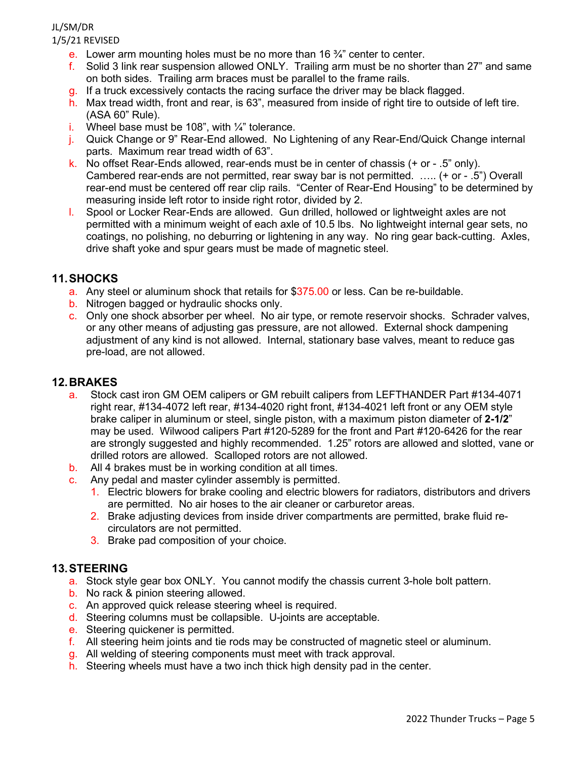- e. Lower arm mounting holes must be no more than 16  $\frac{3}{4}$ " center to center.
- f. Solid 3 link rear suspension allowed ONLY. Trailing arm must be no shorter than 27" and same on both sides. Trailing arm braces must be parallel to the frame rails.
- g. If a truck excessively contacts the racing surface the driver may be black flagged.
- h. Max tread width, front and rear, is 63", measured from inside of right tire to outside of left tire. (ASA 60" Rule).
- i. Wheel base must be 108", with  $\frac{1}{4}$ " tolerance.
- j. Quick Change or 9" Rear-End allowed. No Lightening of any Rear-End/Quick Change internal parts. Maximum rear tread width of 63".
- k. No offset Rear-Ends allowed, rear-ends must be in center of chassis (+ or .5" only). Cambered rear-ends are not permitted, rear sway bar is not permitted. ….. (+ or - .5") Overall rear-end must be centered off rear clip rails. "Center of Rear-End Housing" to be determined by measuring inside left rotor to inside right rotor, divided by 2.
- l. Spool or Locker Rear-Ends are allowed. Gun drilled, hollowed or lightweight axles are not permitted with a minimum weight of each axle of 10.5 lbs. No lightweight internal gear sets, no coatings, no polishing, no deburring or lightening in any way. No ring gear back-cutting. Axles, drive shaft yoke and spur gears must be made of magnetic steel.

# **11.SHOCKS**

- a. Any steel or aluminum shock that retails for \$375.00 or less. Can be re-buildable.
- b. Nitrogen bagged or hydraulic shocks only.
- c. Only one shock absorber per wheel. No air type, or remote reservoir shocks. Schrader valves, or any other means of adjusting gas pressure, are not allowed. External shock dampening adjustment of any kind is not allowed. Internal, stationary base valves, meant to reduce gas pre-load, are not allowed.

#### **12.BRAKES**

- a. Stock cast iron GM OEM calipers or GM rebuilt calipers from LEFTHANDER Part #134-4071 right rear, #134-4072 left rear, #134-4020 right front, #134-4021 left front or any OEM style brake caliper in aluminum or steel, single piston, with a maximum piston diameter of **2-1/2**" may be used. Wilwood calipers Part #120-5289 for the front and Part #120-6426 for the rear are strongly suggested and highly recommended. 1.25" rotors are allowed and slotted, vane or drilled rotors are allowed. Scalloped rotors are not allowed.
- b. All 4 brakes must be in working condition at all times.
- c. Any pedal and master cylinder assembly is permitted.
	- 1. Electric blowers for brake cooling and electric blowers for radiators, distributors and drivers are permitted. No air hoses to the air cleaner or carburetor areas.
	- 2. Brake adjusting devices from inside driver compartments are permitted, brake fluid recirculators are not permitted.
	- 3. Brake pad composition of your choice.

#### **13.STEERING**

- a. Stock style gear box ONLY. You cannot modify the chassis current 3-hole bolt pattern.
- b. No rack & pinion steering allowed.
- c. An approved quick release steering wheel is required.
- d. Steering columns must be collapsible. U-joints are acceptable.
- e. Steering quickener is permitted.
- f. All steering heim joints and tie rods may be constructed of magnetic steel or aluminum.
- g. All welding of steering components must meet with track approval.
- h. Steering wheels must have a two inch thick high density pad in the center.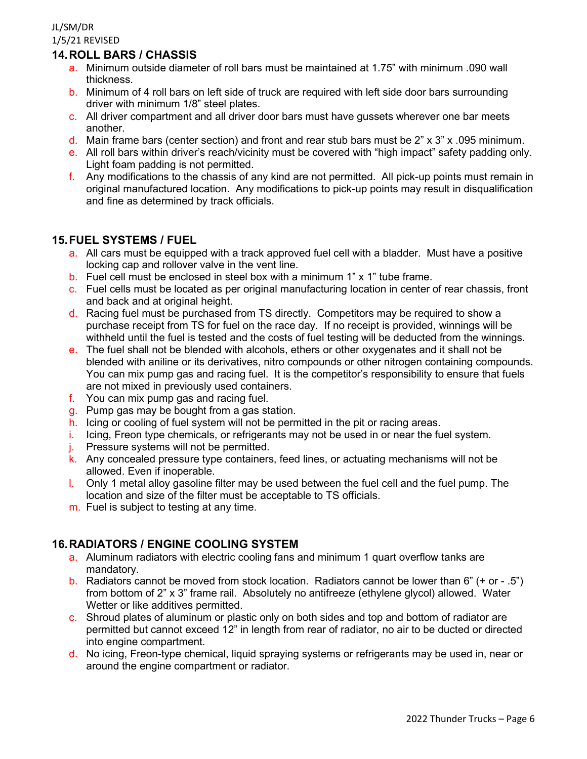## **14.ROLL BARS / CHASSIS**

- a. Minimum outside diameter of roll bars must be maintained at 1.75" with minimum .090 wall thickness.
- b. Minimum of 4 roll bars on left side of truck are required with left side door bars surrounding driver with minimum 1/8" steel plates.
- c. All driver compartment and all driver door bars must have gussets wherever one bar meets another.
- d. Main frame bars (center section) and front and rear stub bars must be  $2" \times 3" \times .095$  minimum.
- e. All roll bars within driver's reach/vicinity must be covered with "high impact" safety padding only. Light foam padding is not permitted.
- f. Any modifications to the chassis of any kind are not permitted. All pick-up points must remain in original manufactured location. Any modifications to pick-up points may result in disqualification and fine as determined by track officials.

#### **15.FUEL SYSTEMS / FUEL**

- a. All cars must be equipped with a track approved fuel cell with a bladder. Must have a positive locking cap and rollover valve in the vent line.
- b. Fuel cell must be enclosed in steel box with a minimum  $1" \times 1"$  tube frame.
- c. Fuel cells must be located as per original manufacturing location in center of rear chassis, front and back and at original height.
- d. Racing fuel must be purchased from TS directly. Competitors may be required to show a purchase receipt from TS for fuel on the race day. If no receipt is provided, winnings will be withheld until the fuel is tested and the costs of fuel testing will be deducted from the winnings.
- e. The fuel shall not be blended with alcohols, ethers or other oxygenates and it shall not be blended with aniline or its derivatives, nitro compounds or other nitrogen containing compounds. You can mix pump gas and racing fuel. It is the competitor's responsibility to ensure that fuels are not mixed in previously used containers.
- f. You can mix pump gas and racing fuel.
- g. Pump gas may be bought from a gas station.
- h. Icing or cooling of fuel system will not be permitted in the pit or racing areas.
- i. Icing, Freon type chemicals, or refrigerants may not be used in or near the fuel system.
- j. Pressure systems will not be permitted.
- k. Any concealed pressure type containers, feed lines, or actuating mechanisms will not be allowed. Even if inoperable.
- l. Only 1 metal alloy gasoline filter may be used between the fuel cell and the fuel pump. The location and size of the filter must be acceptable to TS officials.
- m. Fuel is subject to testing at any time.

## **16.RADIATORS / ENGINE COOLING SYSTEM**

- a. Aluminum radiators with electric cooling fans and minimum 1 quart overflow tanks are mandatory.
- b. Radiators cannot be moved from stock location. Radiators cannot be lower than 6" (+ or .5") from bottom of 2" x 3" frame rail. Absolutely no antifreeze (ethylene glycol) allowed. Water Wetter or like additives permitted.
- c. Shroud plates of aluminum or plastic only on both sides and top and bottom of radiator are permitted but cannot exceed 12" in length from rear of radiator, no air to be ducted or directed into engine compartment.
- d. No icing, Freon-type chemical, liquid spraying systems or refrigerants may be used in, near or around the engine compartment or radiator.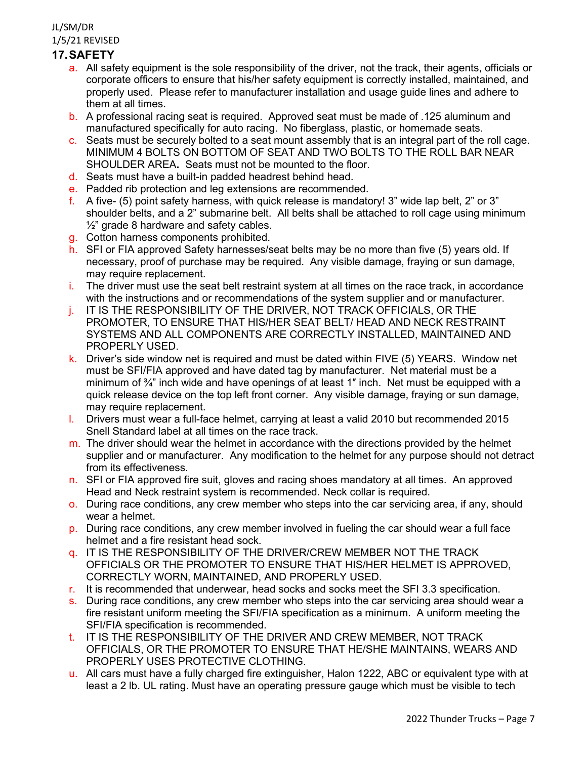# **17.SAFETY**

- a. All safety equipment is the sole responsibility of the driver, not the track, their agents, officials or corporate officers to ensure that his/her safety equipment is correctly installed, maintained, and properly used. Please refer to manufacturer installation and usage guide lines and adhere to them at all times.
- b. A professional racing seat is required. Approved seat must be made of .125 aluminum and manufactured specifically for auto racing. No fiberglass, plastic, or homemade seats.
- c. Seats must be securely bolted to a seat mount assembly that is an integral part of the roll cage. MINIMUM 4 BOLTS ON BOTTOM OF SEAT AND TWO BOLTS TO THE ROLL BAR NEAR SHOULDER AREA**.** Seats must not be mounted to the floor.
- d. Seats must have a built-in padded headrest behind head.
- e. Padded rib protection and leg extensions are recommended.
- f. A five- (5) point safety harness, with quick release is mandatory! 3" wide lap belt, 2" or 3" shoulder belts, and a 2" submarine belt. All belts shall be attached to roll cage using minimum  $\frac{1}{2}$  grade 8 hardware and safety cables.
- g. Cotton harness components prohibited.
- h. SFI or FIA approved Safety harnesses/seat belts may be no more than five (5) years old. If necessary, proof of purchase may be required. Any visible damage, fraying or sun damage, may require replacement.
- i. The driver must use the seat belt restraint system at all times on the race track, in accordance with the instructions and or recommendations of the system supplier and or manufacturer.
- j. IT IS THE RESPONSIBILITY OF THE DRIVER, NOT TRACK OFFICIALS, OR THE PROMOTER, TO ENSURE THAT HIS/HER SEAT BELT/ HEAD AND NECK RESTRAINT SYSTEMS AND ALL COMPONENTS ARE CORRECTLY INSTALLED, MAINTAINED AND PROPERLY USED.
- k. Driver's side window net is required and must be dated within FIVE (5) YEARS. Window net must be SFI/FIA approved and have dated tag by manufacturer. Net material must be a minimum of  $\frac{3}{4}$ " inch wide and have openings of at least 1" inch. Net must be equipped with a quick release device on the top left front corner. Any visible damage, fraying or sun damage, may require replacement.
- l. Drivers must wear a full-face helmet, carrying at least a valid 2010 but recommended 2015 Snell Standard label at all times on the race track.
- $m<sub>l</sub>$ . The driver should wear the helmet in accordance with the directions provided by the helmet supplier and or manufacturer. Any modification to the helmet for any purpose should not detract from its effectiveness.
- n. SFI or FIA approved fire suit, gloves and racing shoes mandatory at all times. An approved Head and Neck restraint system is recommended. Neck collar is required.
- o. During race conditions, any crew member who steps into the car servicing area, if any, should wear a helmet.
- p. During race conditions, any crew member involved in fueling the car should wear a full face helmet and a fire resistant head sock.
- q. IT IS THE RESPONSIBILITY OF THE DRIVER/CREW MEMBER NOT THE TRACK OFFICIALS OR THE PROMOTER TO ENSURE THAT HIS/HER HELMET IS APPROVED, CORRECTLY WORN, MAINTAINED, AND PROPERLY USED.
- r. It is recommended that underwear, head socks and socks meet the SFI 3.3 specification.
- s. During race conditions, any crew member who steps into the car servicing area should wear a fire resistant uniform meeting the SFI/FIA specification as a minimum. A uniform meeting the SFI/FIA specification is recommended.
- t. IT IS THE RESPONSIBILITY OF THE DRIVER AND CREW MEMBER, NOT TRACK OFFICIALS, OR THE PROMOTER TO ENSURE THAT HE/SHE MAINTAINS, WEARS AND PROPERLY USES PROTECTIVE CLOTHING.
- u. All cars must have a fully charged fire extinguisher, Halon 1222, ABC or equivalent type with at least a 2 lb. UL rating. Must have an operating pressure gauge which must be visible to tech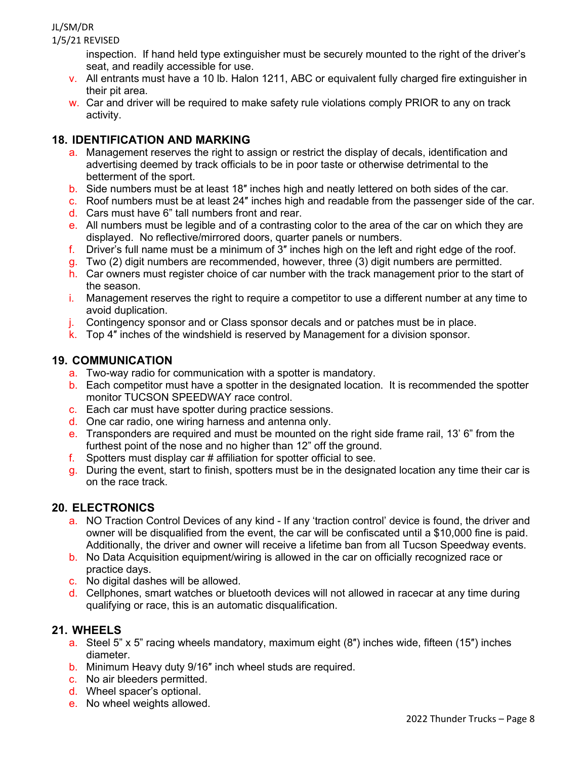# JL/SM/DR

1/5/21 REVISED

inspection. If hand held type extinguisher must be securely mounted to the right of the driver's seat, and readily accessible for use.

- v. All entrants must have a 10 lb. Halon 1211, ABC or equivalent fully charged fire extinguisher in their pit area.
- $w<sub>r</sub>$ . Car and driver will be required to make safety rule violations comply PRIOR to any on track activity.

# **18. IDENTIFICATION AND MARKING**

- a. Management reserves the right to assign or restrict the display of decals, identification and advertising deemed by track officials to be in poor taste or otherwise detrimental to the betterment of the sport.
- b. Side numbers must be at least 18″ inches high and neatly lettered on both sides of the car.
- c. Roof numbers must be at least 24″ inches high and readable from the passenger side of the car.
- d. Cars must have 6" tall numbers front and rear.
- e. All numbers must be legible and of a contrasting color to the area of the car on which they are displayed. No reflective/mirrored doors, quarter panels or numbers.
- f. Driver's full name must be a minimum of 3″ inches high on the left and right edge of the roof.
- $\sigma$ . Two (2) digit numbers are recommended, however, three (3) digit numbers are permitted.
- h. Car owners must register choice of car number with the track management prior to the start of the season.
- i. Management reserves the right to require a competitor to use a different number at any time to avoid duplication.
- j. Contingency sponsor and or Class sponsor decals and or patches must be in place.
- k. Top 4″ inches of the windshield is reserved by Management for a division sponsor.

# **19. COMMUNICATION**

- a. Two-way radio for communication with a spotter is mandatory.
- b. Each competitor must have a spotter in the designated location. It is recommended the spotter monitor TUCSON SPEEDWAY race control.
- c. Each car must have spotter during practice sessions.
- d. One car radio, one wiring harness and antenna only.
- e. Transponders are required and must be mounted on the right side frame rail, 13' 6" from the furthest point of the nose and no higher than 12" off the ground.
- f. Spotters must display car  $#$  affiliation for spotter official to see.
- g. During the event, start to finish, spotters must be in the designated location any time their car is on the race track.

# **20. ELECTRONICS**

- a. NO Traction Control Devices of any kind If any 'traction control' device is found, the driver and owner will be disqualified from the event, the car will be confiscated until a \$10,000 fine is paid. Additionally, the driver and owner will receive a lifetime ban from all Tucson Speedway events.
- b. No Data Acquisition equipment/wiring is allowed in the car on officially recognized race or practice days.
- c. No digital dashes will be allowed.
- d. Cellphones, smart watches or bluetooth devices will not allowed in racecar at any time during qualifying or race, this is an automatic disqualification.

## **21. WHEELS**

- a. Steel 5" x 5" racing wheels mandatory, maximum eight (8″) inches wide, fifteen (15″) inches diameter.
- b. Minimum Heavy duty 9/16″ inch wheel studs are required.
- c. No air bleeders permitted.
- d. Wheel spacer's optional.
- e. No wheel weights allowed.